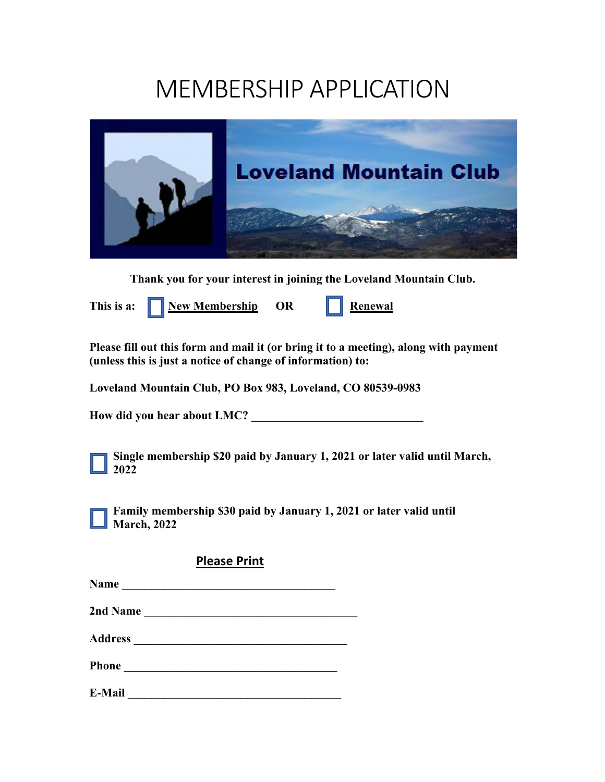# MEMBERSHIP APPLICATION



**Thank you for your interest in joining the Loveland Mountain Club.**

This is a: **New Membership** OR **Renewal** 

**Please fill out this form and mail it (or bring it to a meeting), along with payment (unless this is just a notice of change of information) to:**

**Loveland Mountain Club, PO Box 983, Loveland, CO 80539-0983**

How did you hear about LMC?

**Single membership \$20 paid by January 1, 2021 or later valid until March, 2022**

**Family membership \$30 paid by January 1, 2021 or later valid until March, 2022**

|--|

| <b>Name</b> |  |  |  |
|-------------|--|--|--|
|             |  |  |  |

**2nd Name \_\_\_\_\_\_\_\_\_\_\_\_\_\_\_\_\_\_\_\_\_\_\_\_\_\_\_\_\_\_\_\_\_\_\_\_** 

**Address \_\_\_\_\_\_\_\_\_\_\_\_\_\_\_\_\_\_\_\_\_\_\_\_\_\_\_\_\_\_\_\_\_\_\_\_** 

**Phone \_\_\_\_\_\_\_\_\_\_\_\_\_\_\_\_\_\_\_\_\_\_\_\_\_\_\_\_\_\_\_\_\_\_\_\_** 

**E-Mail** <u>**E-Mail**</u> **E-Mail**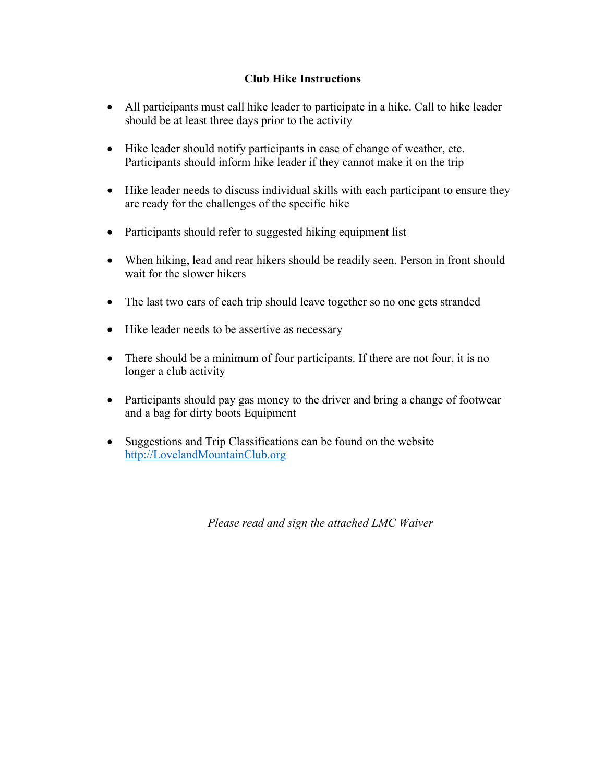# **Club Hike Instructions**

- All participants must call hike leader to participate in a hike. Call to hike leader should be at least three days prior to the activity
- Hike leader should notify participants in case of change of weather, etc. Participants should inform hike leader if they cannot make it on the trip
- Hike leader needs to discuss individual skills with each participant to ensure they are ready for the challenges of the specific hike
- Participants should refer to suggested hiking equipment list
- When hiking, lead and rear hikers should be readily seen. Person in front should wait for the slower hikers
- The last two cars of each trip should leave together so no one gets stranded
- Hike leader needs to be assertive as necessary
- There should be a minimum of four participants. If there are not four, it is no longer a club activity
- Participants should pay gas money to the driver and bring a change of footwear and a bag for dirty boots Equipment
- Suggestions and Trip Classifications can be found on the website http://LovelandMountainClub.org

*Please read and sign the attached LMC Waiver*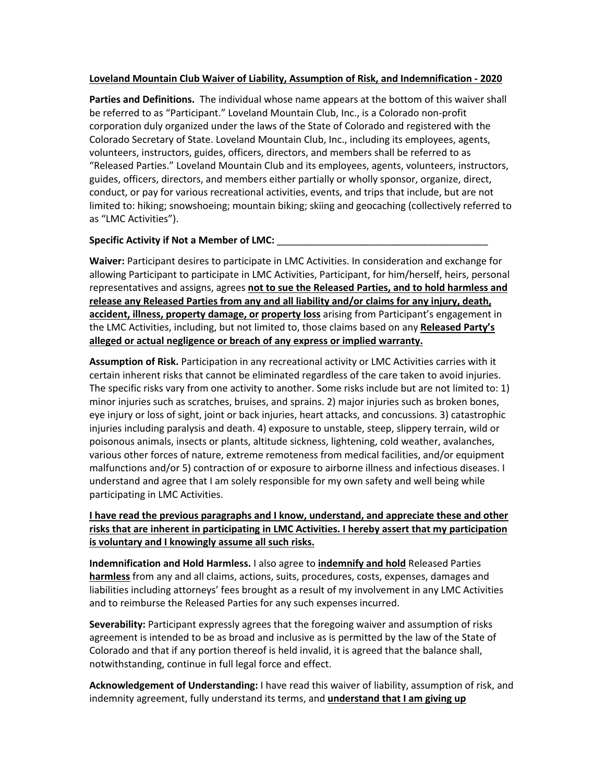#### **Loveland Mountain Club Waiver of Liability, Assumption of Risk, and Indemnification - 2020**

**Parties and Definitions.** The individual whose name appears at the bottom of this waiver shall be referred to as "Participant." Loveland Mountain Club, Inc., is a Colorado non-profit corporation duly organized under the laws of the State of Colorado and registered with the Colorado Secretary of State. Loveland Mountain Club, Inc., including its employees, agents, volunteers, instructors, guides, officers, directors, and members shall be referred to as "Released Parties." Loveland Mountain Club and its employees, agents, volunteers, instructors, guides, officers, directors, and members either partially or wholly sponsor, organize, direct, conduct, or pay for various recreational activities, events, and trips that include, but are not limited to: hiking; snowshoeing; mountain biking; skiing and geocaching (collectively referred to as "LMC Activities").

#### Specific Activity if Not a Member of LMC:

**Waiver:** Participant desires to participate in LMC Activities. In consideration and exchange for allowing Participant to participate in LMC Activities, Participant, for him/herself, heirs, personal representatives and assigns, agrees **not to sue the Released Parties, and to hold harmless and release any Released Parties from any and all liability and/or claims for any injury, death, accident, illness, property damage, or property loss** arising from Participant's engagement in the LMC Activities, including, but not limited to, those claims based on any **Released Party's alleged or actual negligence or breach of any express or implied warranty.**

**Assumption of Risk.** Participation in any recreational activity or LMC Activities carries with it certain inherent risks that cannot be eliminated regardless of the care taken to avoid injuries. The specific risks vary from one activity to another. Some risks include but are not limited to: 1) minor injuries such as scratches, bruises, and sprains. 2) major injuries such as broken bones, eye injury or loss of sight, joint or back injuries, heart attacks, and concussions. 3) catastrophic injuries including paralysis and death. 4) exposure to unstable, steep, slippery terrain, wild or poisonous animals, insects or plants, altitude sickness, lightening, cold weather, avalanches, various other forces of nature, extreme remoteness from medical facilities, and/or equipment malfunctions and/or 5) contraction of or exposure to airborne illness and infectious diseases. I understand and agree that I am solely responsible for my own safety and well being while participating in LMC Activities.

## **I have read the previous paragraphs and I know, understand, and appreciate these and other risks that are inherent in participating in LMC Activities. I hereby assert that my participation is voluntary and I knowingly assume all such risks.**

**Indemnification and Hold Harmless.** I also agree to **indemnify and hold** Released Parties **harmless** from any and all claims, actions, suits, procedures, costs, expenses, damages and liabilities including attorneys' fees brought as a result of my involvement in any LMC Activities and to reimburse the Released Parties for any such expenses incurred.

**Severability:** Participant expressly agrees that the foregoing waiver and assumption of risks agreement is intended to be as broad and inclusive as is permitted by the law of the State of Colorado and that if any portion thereof is held invalid, it is agreed that the balance shall, notwithstanding, continue in full legal force and effect.

**Acknowledgement of Understanding:** I have read this waiver of liability, assumption of risk, and indemnity agreement, fully understand its terms, and **understand that I am giving up**